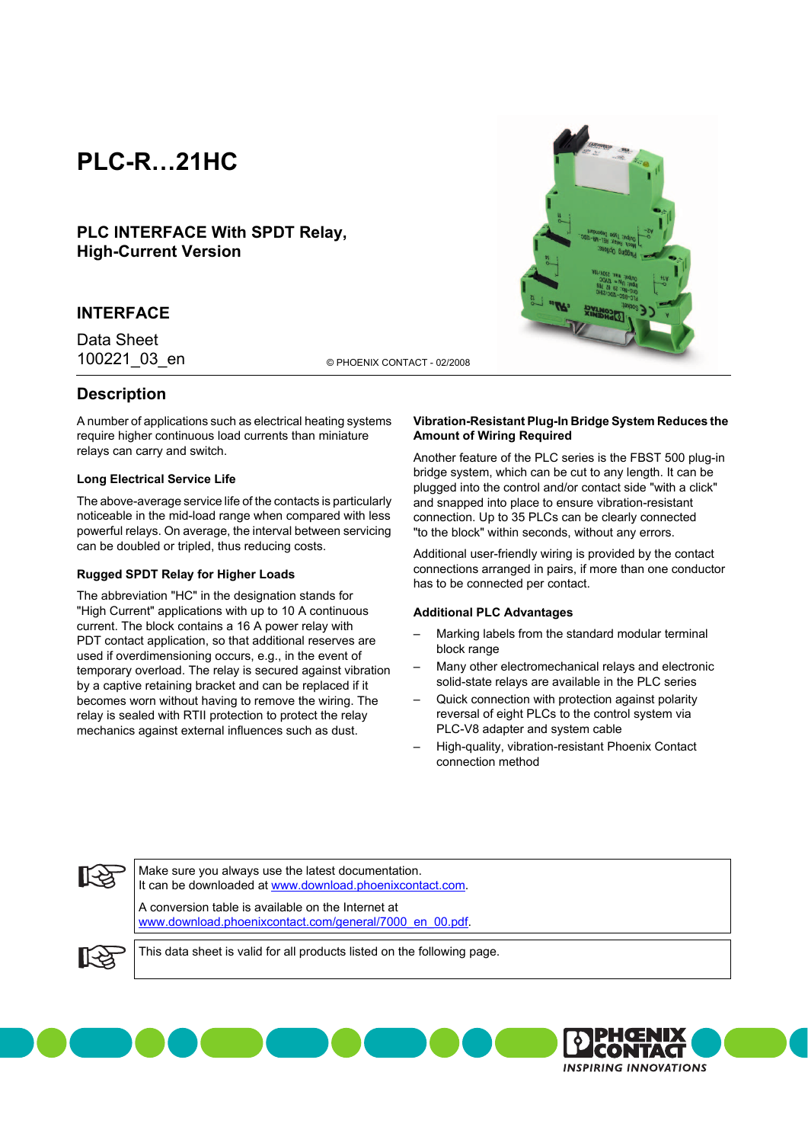# **PLC-R…21HC**

**PLC INTERFACE With SPDT Relay, High-Current Version**

## **INTERFACE**

Data Sheet

100221\_03\_en © PHOENIX CONTACT - 02/2008

# **Description**

A number of applications such as electrical heating systems require higher continuous load currents than miniature relays can carry and switch.

### **Long Electrical Service Life**

The above-average service life of the contacts is particularly noticeable in the mid-load range when compared with less powerful relays. On average, the interval between servicing can be doubled or tripled, thus reducing costs.

#### **Rugged SPDT Relay for Higher Loads**

The abbreviation "HC" in the designation stands for "High Current" applications with up to 10 A continuous current. The block contains a 16 A power relay with PDT contact application, so that additional reserves are used if overdimensioning occurs, e.g., in the event of temporary overload. The relay is secured against vibration by a captive retaining bracket and can be replaced if it becomes worn without having to remove the wiring. The relay is sealed with RTII protection to protect the relay mechanics against external influences such as dust.

### **Vibration-Resistant Plug-In Bridge System Reduces the Amount of Wiring Required**

Another feature of the PLC series is the FBST 500 plug-in bridge system, which can be cut to any length. It can be plugged into the control and/or contact side "with a click" and snapped into place to ensure vibration-resistant connection. Up to 35 PLCs can be clearly connected "to the block" within seconds, without any errors.

Additional user-friendly wiring is provided by the contact connections arranged in pairs, if more than one conductor has to be connected per contact.

#### **Additional PLC Advantages**

- Marking labels from the standard modular terminal block range
- Many other electromechanical relays and electronic solid-state relays are available in the PLC series
- Quick connection with protection against polarity reversal of eight PLCs to the control system via PLC-V8 adapter and system cable
- High-quality, vibration-resistant Phoenix Contact connection method

**INSPIRING INNOVATIONS** 



Make sure you always use the latest documentation. It can be downloaded at [www.download.phoenixcontact.com.](http://www.download.phoenixcontact.com) A conversion table is available on the Internet at

[www.download.phoenixcontact.com/general/7000\\_en\\_00.pdf.](http://www.download.phoenixcontact.com/general/7000_en_00.pdf)



This data sheet is valid for all products listed on the following page.

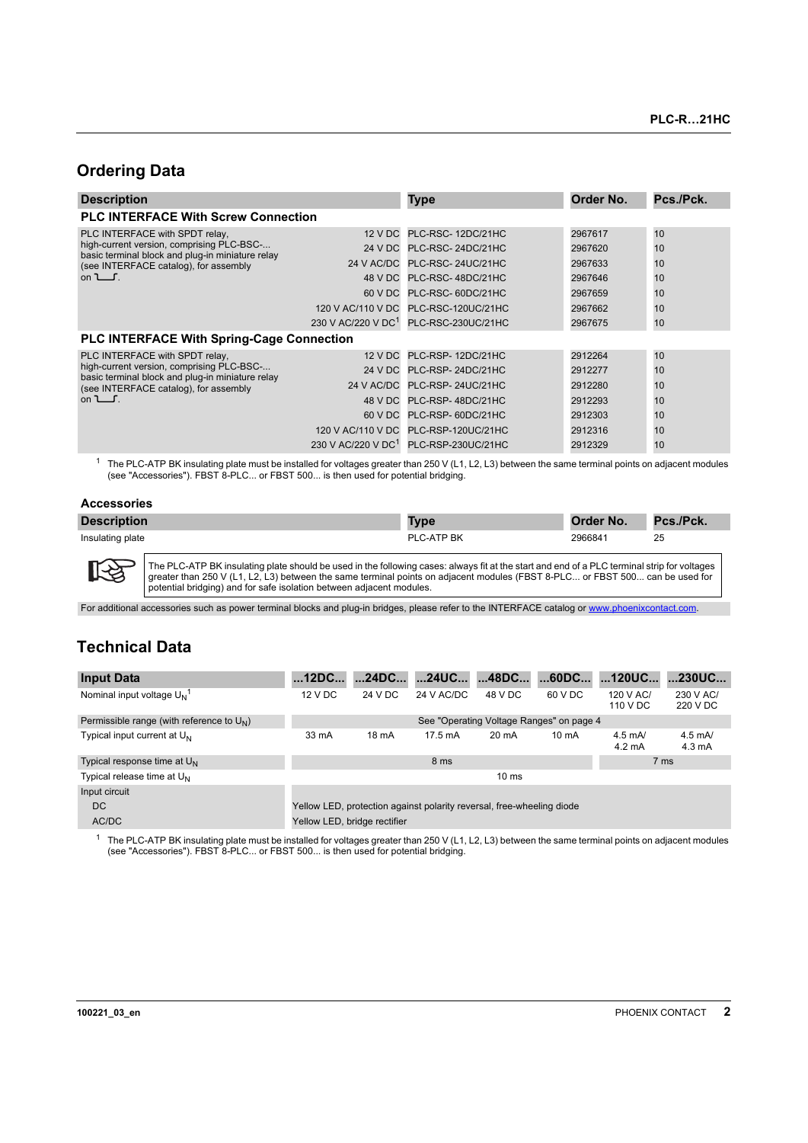# **Ordering Data**

| <b>Description</b>                                                                                                                                                                      |         | <b>Type</b>                                       | Order No. | Pcs./Pck. |
|-----------------------------------------------------------------------------------------------------------------------------------------------------------------------------------------|---------|---------------------------------------------------|-----------|-----------|
| <b>PLC INTERFACE With Screw Connection</b>                                                                                                                                              |         |                                                   |           |           |
| PLC INTERFACE with SPDT relay,<br>high-current version, comprising PLC-BSC-<br>basic terminal block and plug-in miniature relay<br>(see INTERFACE catalog), for assembly<br>on $\Box$ . |         | 12 V DC PLC-RSC-12DC/21HC                         | 2967617   | 10        |
|                                                                                                                                                                                         | 24 V DC | PLC-RSC-24DC/21HC                                 | 2967620   | 10        |
|                                                                                                                                                                                         |         | 24 V AC/DC PLC-RSC-24UC/21HC                      | 2967633   | 10        |
|                                                                                                                                                                                         |         | 48 V DC PLC-RSC-48DC/21HC                         | 2967646   | 10        |
|                                                                                                                                                                                         |         | 60 V DC PLC-RSC-60DC/21HC                         | 2967659   | 10        |
|                                                                                                                                                                                         |         | 120 V AC/110 V DC PLC-RSC-120UC/21HC              | 2967662   | 10        |
|                                                                                                                                                                                         |         | 230 V AC/220 V DC <sup>1</sup> PLC-RSC-230UC/21HC | 2967675   | 10        |
| <b>PLC INTERFACE With Spring-Cage Connection</b>                                                                                                                                        |         |                                                   |           |           |
| PLC INTERFACE with SPDT relay,<br>high-current version, comprising PLC-BSC-<br>basic terminal block and plug-in miniature relay<br>(see INTERFACE catalog), for assembly<br>on $\Box$ . |         | 12 V DC PLC-RSP-12DC/21HC                         | 2912264   | 10        |
|                                                                                                                                                                                         |         | 24 V DC PLC-RSP-24DC/21HC                         | 2912277   | 10        |
|                                                                                                                                                                                         |         | 24 V AC/DC PLC-RSP-24UC/21HC                      | 2912280   | 10        |
|                                                                                                                                                                                         |         | 48 V DC PLC-RSP-48DC/21HC                         | 2912293   | 10        |
|                                                                                                                                                                                         |         | 60 V DC PLC-RSP-60DC/21HC                         | 2912303   | 10        |
|                                                                                                                                                                                         |         | 120 V AC/110 V DC PLC-RSP-120UC/21HC              | 2912316   | 10        |
|                                                                                                                                                                                         |         | 230 V AC/220 V DC <sup>1</sup> PLC-RSP-230UC/21HC | 2912329   | 10        |

<span id="page-1-1"></span> $1$  The PLC-ATP BK insulating plate must be installed for voltages greater than 250 V (L1, L2, L3) between the same terminal points on adjacent modules (see ["Accessories"\)](#page-1-0). FBST 8-PLC... or FBST 500... is then used for potential bridging.

## <span id="page-1-0"></span>**Accessories**

| <b>Description</b> | <b>Type</b> | Order No. | Pcs./Pck. |
|--------------------|-------------|-----------|-----------|
| Insulating plate   | PLC-ATP BK  | 2966841   | 25        |

**IKS** The PLC-ATP BK insulating plate should be used in the following cases: always fit at the start and end of a PLC terminal strip for voltages greater than 250 V (L1, L2, L3) between the same terminal points on adjacent modules (FBST 8-PLC... or FBST 500... can be used for<br>potential bridging) and for safe isolation between adjacent modules.

For additional accessories such as power terminal blocks and plug-in bridges, please refer to the INTERFACE catalog or [www.phoenixcontact.com](http://www.phoenixcontact.com).

# **Technical Data**

| <b>Input Data</b>                              | 12DC                                                                  | 24DC    | 24UC              | 48DC                                     | 60DC            | …120UC…                              | 230UC                                |
|------------------------------------------------|-----------------------------------------------------------------------|---------|-------------------|------------------------------------------|-----------------|--------------------------------------|--------------------------------------|
| Nominal input voltage $U_{N}$ <sup>1</sup>     | 12 V DC                                                               | 24 V DC | 24 V AC/DC        | 48 V DC                                  | 60 V DC         | 120 V AC/<br>110 V DC                | 230 V AC/<br>220 V DC                |
| Permissible range (with reference to $U_{N}$ ) |                                                                       |         |                   | See "Operating Voltage Ranges" on page 4 |                 |                                      |                                      |
| Typical input current at U <sub>N</sub>        | 33 mA                                                                 | 18 mA   | $17.5 \text{ mA}$ | 20 mA                                    | $10 \text{ mA}$ | $4.5 \text{ mA}$<br>$4.2 \text{ mA}$ | $4.5 \text{ mA}$<br>$4.3 \text{ mA}$ |
| Typical response time at $U_N$                 |                                                                       |         | 8 ms              |                                          |                 | 7 ms                                 |                                      |
| Typical release time at $U_N$                  |                                                                       |         |                   | $10 \text{ ms}$                          |                 |                                      |                                      |
| Input circuit                                  |                                                                       |         |                   |                                          |                 |                                      |                                      |
| DC.                                            | Yellow LED, protection against polarity reversal, free-wheeling diode |         |                   |                                          |                 |                                      |                                      |
| AC/DC                                          | Yellow LED, bridge rectifier                                          |         |                   |                                          |                 |                                      |                                      |

 $1$  The PLC-ATP BK insulating plate must be installed for voltages greater than 250 V (L1, L2, L3) between the same terminal points on adjacent modules (see ["Accessories"\)](#page-1-0). FBST 8-PLC... or FBST 500... is then used for potential bridging.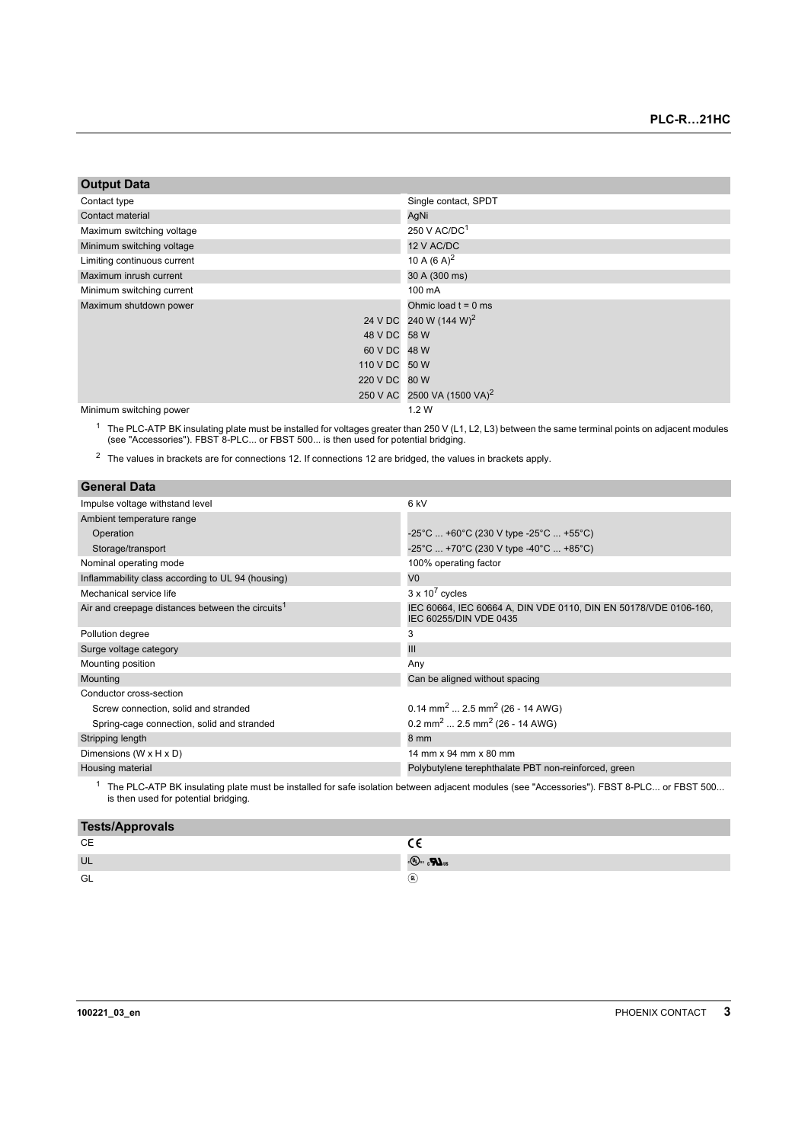| <b>Output Data</b> |  |  |
|--------------------|--|--|
|                    |  |  |

| Contact type                | Single contact, SPDT                    |
|-----------------------------|-----------------------------------------|
| Contact material            | AgNi                                    |
| Maximum switching voltage   | 250 V AC/DC <sup>1</sup>                |
| Minimum switching voltage   | 12 V AC/DC                              |
| Limiting continuous current | 10 A $(6 A)^2$                          |
| Maximum inrush current      | 30 A (300 ms)                           |
| Minimum switching current   | 100 mA                                  |
| Maximum shutdown power      | Ohmic load $t = 0$ ms                   |
|                             | 24 V DC 240 W (144 W) <sup>2</sup>      |
| 48 V DC 58 W                |                                         |
| 60 V DC 48 W                |                                         |
| 110 V DC 50 W               |                                         |
| 220 V DC 80 W               |                                         |
|                             | 250 V AC 2500 VA (1500 VA) <sup>2</sup> |
| Minimum switching power     | 1.2W                                    |

<sup>1</sup> The PLC-ATP BK insulating plate must be installed for voltages greater than 250 V (L1, L2, L3) between the same terminal points on adjacent modules (see ["Accessories"\)](#page-1-0). FBST 8-PLC... or FBST 500... is then used for pot

<span id="page-2-0"></span> $2\text{ }$  The values in brackets are for connections 12. If connections 12 are bridged, the values in brackets apply.

| <b>General Data</b>                                          |                                                                                            |
|--------------------------------------------------------------|--------------------------------------------------------------------------------------------|
| Impulse voltage withstand level                              | 6 kV                                                                                       |
| Ambient temperature range                                    |                                                                                            |
| Operation                                                    | $-25^{\circ}$ C  +60 $^{\circ}$ C (230 V type -25 $^{\circ}$ C  +55 $^{\circ}$ C)          |
| Storage/transport                                            | -25°C  +70°C (230 V type -40°C  +85°C)                                                     |
| Nominal operating mode                                       | 100% operating factor                                                                      |
| Inflammability class according to UL 94 (housing)            | V <sub>0</sub>                                                                             |
| Mechanical service life                                      | $3 \times 10^7$ cycles                                                                     |
| Air and creepage distances between the circuits <sup>1</sup> | IEC 60664, IEC 60664 A, DIN VDE 0110, DIN EN 50178/VDE 0106-160,<br>IEC 60255/DIN VDE 0435 |
| Pollution degree                                             | 3                                                                                          |
| Surge voltage category                                       | III                                                                                        |
| Mounting position                                            | Any                                                                                        |
| Mounting                                                     | Can be aligned without spacing                                                             |
| Conductor cross-section                                      |                                                                                            |
| Screw connection, solid and stranded                         | $0.14$ mm <sup>2</sup> 2.5 mm <sup>2</sup> (26 - 14 AWG)                                   |
| Spring-cage connection, solid and stranded                   | $0.2$ mm <sup>2</sup> 2.5 mm <sup>2</sup> (26 - 14 AWG)                                    |
| Stripping length                                             | 8 mm                                                                                       |
| Dimensions (W x H x D)                                       | 14 mm x 94 mm x 80 mm                                                                      |
| Housing material                                             | Polybutylene terephthalate PBT non-reinforced, green                                       |
|                                                              |                                                                                            |

<sup>1</sup> The PLC-ATP BK insulating plate must be installed for safe isolation between adjacent modules (see ["Accessories"\)](#page-1-0). FBST 8-PLC... or FBST 500...<br>is then used for potential bridging.

| <b>Tests/Approvals</b> |                  |
|------------------------|------------------|
| СE                     |                  |
| UL                     | 。(4). <b>D</b> . |
| GL                     | GL)              |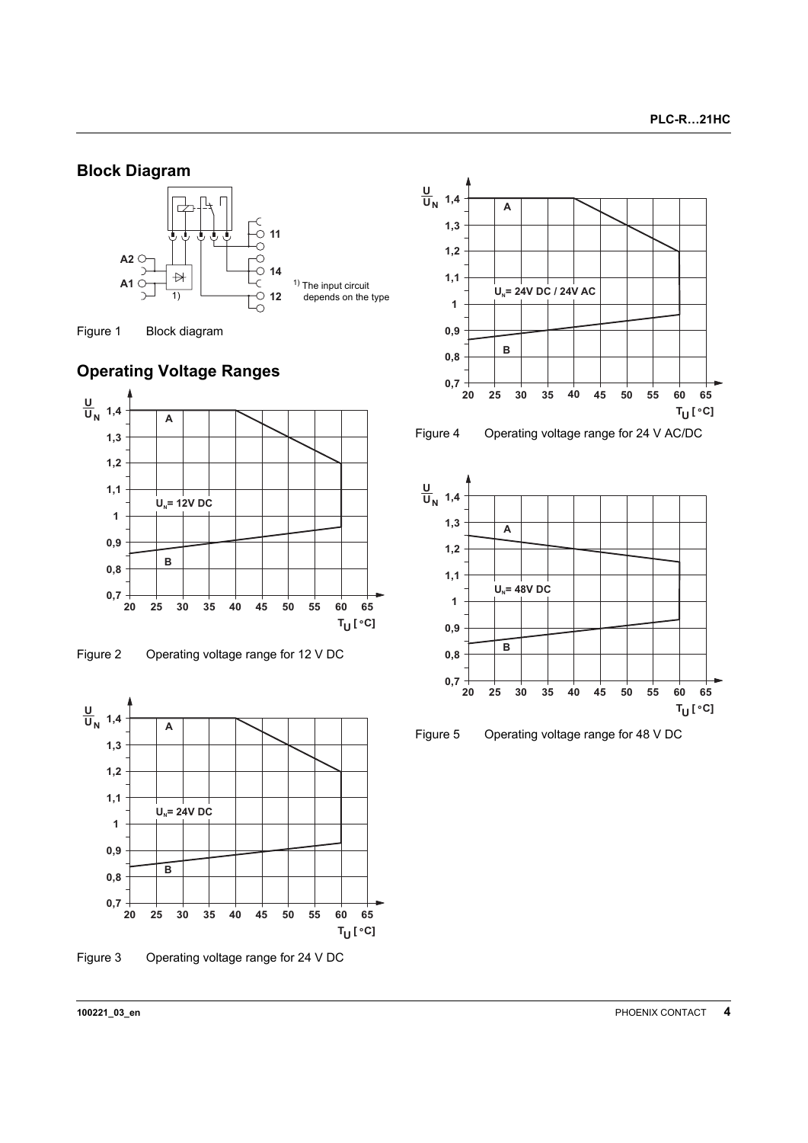# **Block Diagram**





# <span id="page-3-0"></span>**Operating Voltage Ranges**







Figure 3 Operating voltage range for 24 V DC





Figure 4 Operating voltage range for 24 V AC/DC



Figure 5 Operating voltage range for 48 V DC